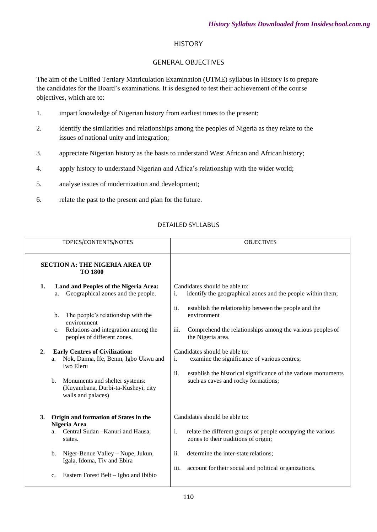#### **HISTORY**

### GENERAL OBJECTIVES

The aim of the Unified Tertiary Matriculation Examination (UTME) syllabus in History is to prepare the candidates for the Board's examinations. It is designed to test their achievement of the course objectives, which are to:

- 1. impart knowledge of Nigerian history from earliest times to the present;
- 2. identify the similarities and relationships among the peoples of Nigeria as they relate to the issues of national unity and integration;
- 3. appreciate Nigerian history as the basis to understand West African and African history;
- 4. apply history to understand Nigerian and Africa's relationship with the wider world;
- 5. analyse issues of modernization and development;
- 6. relate the past to the present and plan for the future.

#### DETAILED SYLLABUS

| TOPICS/CONTENTS/NOTES                                                                                                                                                                                                                                                                                                                                                                                                                                            | <b>OBJECTIVES</b>                                                                                                                                                                                                                                                                                                                                                                                                                                                                  |
|------------------------------------------------------------------------------------------------------------------------------------------------------------------------------------------------------------------------------------------------------------------------------------------------------------------------------------------------------------------------------------------------------------------------------------------------------------------|------------------------------------------------------------------------------------------------------------------------------------------------------------------------------------------------------------------------------------------------------------------------------------------------------------------------------------------------------------------------------------------------------------------------------------------------------------------------------------|
| <b>SECTION A: THE NIGERIA AREA UP</b><br><b>TO 1800</b>                                                                                                                                                                                                                                                                                                                                                                                                          |                                                                                                                                                                                                                                                                                                                                                                                                                                                                                    |
| Land and Peoples of the Nigeria Area:<br>1.<br>Geographical zones and the people.<br>a.<br>The people's relationship with the<br>$\mathbf{b}$ .<br>environment<br>Relations and integration among the<br>c.<br>peoples of different zones.<br>2.<br><b>Early Centres of Civilization:</b><br>Nok, Daima, Ife, Benin, Igbo Ukwu and<br>a.<br><b>Iwo Eleru</b><br>Monuments and shelter systems:<br>b.<br>(Kuyambana, Durbi-ta-Kusheyi, city<br>walls and palaces) | Candidates should be able to:<br>identify the geographical zones and the people within them;<br>i.<br>ii.<br>establish the relationship between the people and the<br>environment<br>iii.<br>Comprehend the relationships among the various peoples of<br>the Nigeria area.<br>Candidates should be able to:<br>examine the significance of various centres;<br>i.<br>ii.<br>establish the historical significance of the various monuments<br>such as caves and rocky formations; |
| Origin and formation of States in the<br>3.<br>Nigeria Area<br>Central Sudan - Kanuri and Hausa,<br>a.<br>states.<br>Niger-Benue Valley - Nupe, Jukun,<br>$\mathbf{b}$ .<br>Igala, Idoma, Tiv and Ebira<br>Eastern Forest Belt – Igbo and Ibibio<br>c.                                                                                                                                                                                                           | Candidates should be able to:<br>i.<br>relate the different groups of people occupying the various<br>zones to their traditions of origin;<br>ii.<br>determine the inter-state relations;<br>iii.<br>account for their social and political organizations.                                                                                                                                                                                                                         |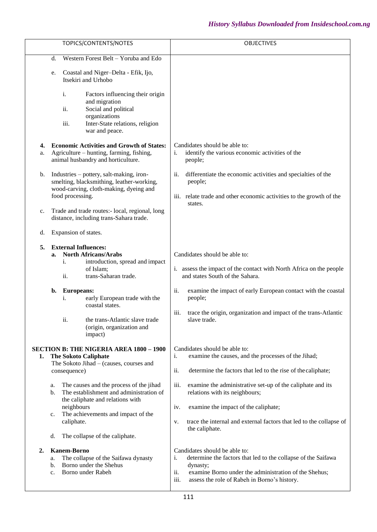|                                                                                                                                                                                                                                                                                                                                                                                                                 | TOPICS/CONTENTS/NOTES                                                                                                                                                                                                  | <b>OBJECTIVES</b>                                                                                                                                                                                                                                                                                                                                                                                                       |
|-----------------------------------------------------------------------------------------------------------------------------------------------------------------------------------------------------------------------------------------------------------------------------------------------------------------------------------------------------------------------------------------------------------------|------------------------------------------------------------------------------------------------------------------------------------------------------------------------------------------------------------------------|-------------------------------------------------------------------------------------------------------------------------------------------------------------------------------------------------------------------------------------------------------------------------------------------------------------------------------------------------------------------------------------------------------------------------|
| d.                                                                                                                                                                                                                                                                                                                                                                                                              | Western Forest Belt - Yoruba and Edo                                                                                                                                                                                   |                                                                                                                                                                                                                                                                                                                                                                                                                         |
| e.                                                                                                                                                                                                                                                                                                                                                                                                              | Coastal and Niger-Delta - Efik, Ijo,<br>Itsekiri and Urhobo                                                                                                                                                            |                                                                                                                                                                                                                                                                                                                                                                                                                         |
| i.<br>ii.<br>iii.                                                                                                                                                                                                                                                                                                                                                                                               | Factors influencing their origin<br>and migration<br>Social and political<br>organizations<br>Inter-State relations, religion<br>war and peace.                                                                        |                                                                                                                                                                                                                                                                                                                                                                                                                         |
| 4.<br>a.                                                                                                                                                                                                                                                                                                                                                                                                        | <b>Economic Activities and Growth of States:</b><br>Agriculture – hunting, farming, fishing,<br>animal husbandry and horticulture.                                                                                     | Candidates should be able to:<br>identify the various economic activities of the<br>i.<br>people;                                                                                                                                                                                                                                                                                                                       |
| b.<br>food processing.                                                                                                                                                                                                                                                                                                                                                                                          | Industries – pottery, salt-making, iron-<br>smelting, blacksmithing, leather-working,<br>wood-carving, cloth-making, dyeing and                                                                                        | ii.<br>differentiate the economic activities and specialties of the<br>people;<br>iii. relate trade and other economic activities to the growth of the<br>states.                                                                                                                                                                                                                                                       |
| c.                                                                                                                                                                                                                                                                                                                                                                                                              | Trade and trade routes:- local, regional, long<br>distance, including trans-Sahara trade.                                                                                                                              |                                                                                                                                                                                                                                                                                                                                                                                                                         |
| Expansion of states.<br>d.                                                                                                                                                                                                                                                                                                                                                                                      |                                                                                                                                                                                                                        |                                                                                                                                                                                                                                                                                                                                                                                                                         |
| <b>External Influences:</b><br>5.<br>a.<br>i.<br>ii.<br><b>Europeans:</b><br>b.<br>i.<br>ii.                                                                                                                                                                                                                                                                                                                    | <b>North Africans/Arabs</b><br>introduction, spread and impact<br>of Islam;<br>trans-Saharan trade.<br>early European trade with the<br>coastal states.<br>the trans-Atlantic slave trade<br>(origin, organization and | Candidates should be able to:<br>assess the impact of the contact with North Africa on the people<br>i.<br>and states South of the Sahara.<br>ii.<br>examine the impact of early European contact with the coastal<br>people;<br>iii.<br>trace the origin, organization and impact of the trans-Atlantic<br>slave trade.                                                                                                |
| impact)<br><b>SECTION B: THE NIGERIA AREA 1800 - 1900</b><br><b>The Sokoto Caliphate</b><br>1.<br>The Sokoto Jihad - (causes, courses and<br>consequence)<br>The causes and the process of the jihad<br>a.<br>The establishment and administration of<br>b.<br>the caliphate and relations with<br>neighbours<br>The achievements and impact of the<br>c.<br>caliphate.<br>The collapse of the caliphate.<br>d. |                                                                                                                                                                                                                        | Candidates should be able to:<br>examine the causes, and the processes of the Jihad;<br>i.<br>ii.<br>determine the factors that led to the rise of the caliphate;<br>iii.<br>examine the administrative set-up of the caliphate and its<br>relations with its neighbours;<br>examine the impact of the caliphate;<br>iv.<br>trace the internal and external factors that led to the collapse of<br>v.<br>the caliphate. |
| <b>Kanem-Borno</b><br>2.<br>a.<br>b.<br>$\mathbf{c}$ .                                                                                                                                                                                                                                                                                                                                                          | The collapse of the Saifawa dynasty<br>Borno under the Shehus<br>Borno under Rabeh                                                                                                                                     | Candidates should be able to:<br>determine the factors that led to the collapse of the Saifawa<br>i.<br>dynasty;<br>ii.<br>examine Borno under the administration of the Shehus;<br>iii.<br>assess the role of Rabeh in Borno's history.                                                                                                                                                                                |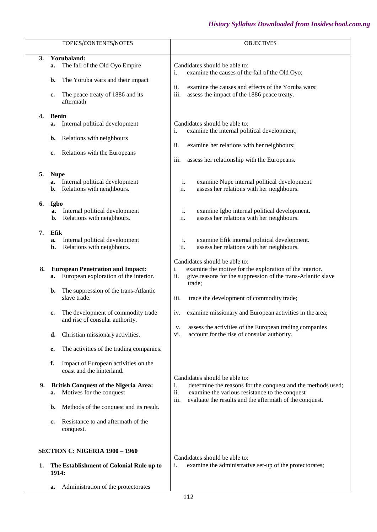|    | TOPICS/CONTENTS/NOTES                                                                                                                 | OBJECTIVES                                                                                                                                                                                                                      |
|----|---------------------------------------------------------------------------------------------------------------------------------------|---------------------------------------------------------------------------------------------------------------------------------------------------------------------------------------------------------------------------------|
|    |                                                                                                                                       |                                                                                                                                                                                                                                 |
| 3. | Yorubaland:<br>The fall of the Old Oyo Empire<br>a.                                                                                   | Candidates should be able to:<br>examine the causes of the fall of the Old Oyo;<br>i.                                                                                                                                           |
|    | The Yoruba wars and their impact<br>b.                                                                                                | ii.<br>examine the causes and effects of the Yoruba wars:                                                                                                                                                                       |
|    | The peace treaty of 1886 and its<br>c.<br>aftermath                                                                                   | iii.<br>assess the impact of the 1886 peace treaty.                                                                                                                                                                             |
| 4. | <b>Benin</b><br>Internal political development<br>a.                                                                                  | Candidates should be able to:<br>examine the internal political development;<br>i.                                                                                                                                              |
|    | Relations with neighbours<br>b.                                                                                                       | ii.                                                                                                                                                                                                                             |
|    | Relations with the Europeans<br>c.                                                                                                    | examine her relations with her neighbours;                                                                                                                                                                                      |
|    |                                                                                                                                       | iii.<br>assess her relationship with the Europeans.                                                                                                                                                                             |
| 5. | <b>Nupe</b><br>Internal political development<br>a.<br>Relations with neighbours.<br>b.                                               | examine Nupe internal political development.<br>i.<br>ii.<br>assess her relations with her neighbours.                                                                                                                          |
| 6. | Igbo<br>Internal political development<br>a.<br>Relations with neigbhours.<br>b.                                                      | examine Igbo internal political development.<br>i.<br>ii.<br>assess her relations with her neighbours.                                                                                                                          |
| 7. | Efik<br>Internal political development<br>a.<br>Relations with neigbhours.<br>b.                                                      | i.<br>examine Efik internal political development.<br>ii.<br>assess her relations with her neighbours.                                                                                                                          |
| 8. | <b>European Penetration and Impact:</b><br>European exploration of the interior.<br>a.<br>The suppression of the trans-Atlantic<br>b. | Candidates should be able to:<br>i.<br>examine the motive for the exploration of the interior.<br>ii.<br>give reasons for the suppression of the trans-Atlantic slave<br>trade;                                                 |
|    | slave trade.                                                                                                                          | iii.<br>trace the development of commodity trade;                                                                                                                                                                               |
|    | The development of commodity trade<br>c.<br>and rise of consular authority.                                                           | examine missionary and European activities in the area;<br>iv.                                                                                                                                                                  |
|    | Christian missionary activities.<br>d.                                                                                                | assess the activities of the European trading companies<br>v.<br>account for the rise of consular authority.<br>vi.                                                                                                             |
|    | The activities of the trading companies.<br>е.                                                                                        |                                                                                                                                                                                                                                 |
|    | f.<br>Impact of European activities on the<br>coast and the hinterland.                                                               |                                                                                                                                                                                                                                 |
| 9. | <b>British Conquest of the Nigeria Area:</b><br>Motives for the conquest<br>a.                                                        | Candidates should be able to:<br>determine the reasons for the conquest and the methods used;<br>i.<br>ii.<br>examine the various resistance to the conquest<br>iii.<br>evaluate the results and the aftermath of the conquest. |
|    | Methods of the conquest and its result.<br>b.                                                                                         |                                                                                                                                                                                                                                 |
|    | Resistance to and aftermath of the<br>c.<br>conquest.                                                                                 |                                                                                                                                                                                                                                 |
|    | SECTION C: NIGERIA 1900 - 1960                                                                                                        |                                                                                                                                                                                                                                 |
| 1. | The Establishment of Colonial Rule up to<br>1914:                                                                                     | Candidates should be able to:<br>examine the administrative set-up of the protectorates;<br>i.                                                                                                                                  |
|    | Administration of the protectorates<br>a.                                                                                             |                                                                                                                                                                                                                                 |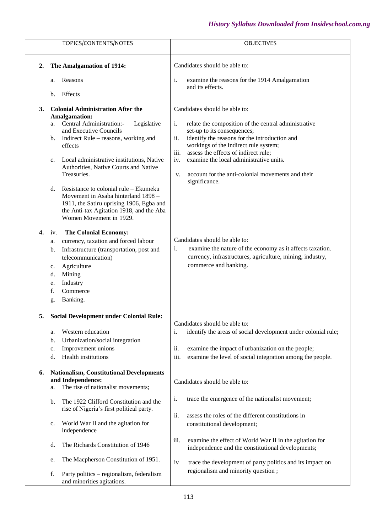|    |                      | TOPICS/CONTENTS/NOTES                                                                                                                                                                                                                                                                                                                                                         | <b>OBJECTIVES</b>                                                                                                                                                                                                                                                                                                                                                                                         |
|----|----------------------|-------------------------------------------------------------------------------------------------------------------------------------------------------------------------------------------------------------------------------------------------------------------------------------------------------------------------------------------------------------------------------|-----------------------------------------------------------------------------------------------------------------------------------------------------------------------------------------------------------------------------------------------------------------------------------------------------------------------------------------------------------------------------------------------------------|
| 2. |                      | The Amalgamation of 1914:                                                                                                                                                                                                                                                                                                                                                     | Candidates should be able to:                                                                                                                                                                                                                                                                                                                                                                             |
|    | a.                   | Reasons<br>Effects                                                                                                                                                                                                                                                                                                                                                            | i.<br>examine the reasons for the 1914 Amalgamation<br>and its effects.                                                                                                                                                                                                                                                                                                                                   |
|    | b.                   |                                                                                                                                                                                                                                                                                                                                                                               |                                                                                                                                                                                                                                                                                                                                                                                                           |
| 3. | a.<br>b.<br>c.<br>d. | <b>Colonial Administration After the</b><br><b>Amalgamation:</b><br>Central Administration:-<br>Legislative<br>and Executive Councils<br>Indirect Rule – reasons, working and<br>effects<br>Local administrative institutions, Native<br>Authorities, Native Courts and Native<br>Treasuries.<br>Resistance to colonial rule – Ekumeku<br>Movement in Asaba hinterland 1898 - | Candidates should be able to:<br>i.<br>relate the composition of the central administrative<br>set-up to its consequences;<br>ii.<br>identify the reasons for the introduction and<br>workings of the indirect rule system;<br>iii.<br>assess the effects of indirect rule;<br>examine the local administrative units.<br>iv.<br>account for the anti-colonial movements and their<br>V.<br>significance. |
| 4. | iv.                  | 1911, the Satiru uprising 1906, Egba and<br>the Anti-tax Agitation 1918, and the Aba<br>Women Movement in 1929.<br><b>The Colonial Economy:</b>                                                                                                                                                                                                                               |                                                                                                                                                                                                                                                                                                                                                                                                           |
|    | a.                   | currency, taxation and forced labour                                                                                                                                                                                                                                                                                                                                          | Candidates should be able to:                                                                                                                                                                                                                                                                                                                                                                             |
|    | b.<br>c.<br>d.       | Infrastructure (transportation, post and<br>telecommunication)<br>Agriculture<br>Mining                                                                                                                                                                                                                                                                                       | examine the nature of the economy as it affects taxation.<br>i.<br>currency, infrastructures, agriculture, mining, industry,<br>commerce and banking.                                                                                                                                                                                                                                                     |
|    | e.<br>f.<br>g.       | Industry<br>Commerce<br>Banking.                                                                                                                                                                                                                                                                                                                                              |                                                                                                                                                                                                                                                                                                                                                                                                           |
|    |                      | 5. Social Development under Colonial Rule:                                                                                                                                                                                                                                                                                                                                    | Candidates should be able to:                                                                                                                                                                                                                                                                                                                                                                             |
|    | a.<br>b.<br>c.<br>d. | Western education<br>Urbanization/social integration<br>Improvement unions<br>Health institutions                                                                                                                                                                                                                                                                             | identify the areas of social development under colonial rule;<br>i.<br>ii.<br>examine the impact of urbanization on the people;<br>iii.<br>examine the level of social integration among the people.                                                                                                                                                                                                      |
| 6. | a.                   | <b>Nationalism, Constitutional Developments</b><br>and Independence:<br>The rise of nationalist movements;                                                                                                                                                                                                                                                                    | Candidates should be able to:                                                                                                                                                                                                                                                                                                                                                                             |
|    | b.                   | The 1922 Clifford Constitution and the<br>rise of Nigeria's first political party.                                                                                                                                                                                                                                                                                            | i.<br>trace the emergence of the nationalist movement;                                                                                                                                                                                                                                                                                                                                                    |
|    | c.                   | World War II and the agitation for<br>independence                                                                                                                                                                                                                                                                                                                            | ii.<br>assess the roles of the different constitutions in<br>constitutional development;                                                                                                                                                                                                                                                                                                                  |
|    | d.                   | The Richards Constitution of 1946                                                                                                                                                                                                                                                                                                                                             | iii.<br>examine the effect of World War II in the agitation for<br>independence and the constitutional developments;                                                                                                                                                                                                                                                                                      |
|    | e.                   | The Macpherson Constitution of 1951.                                                                                                                                                                                                                                                                                                                                          | trace the development of party politics and its impact on<br>iv<br>regionalism and minority question;                                                                                                                                                                                                                                                                                                     |
|    | f.                   | Party politics - regionalism, federalism<br>and minorities agitations.                                                                                                                                                                                                                                                                                                        |                                                                                                                                                                                                                                                                                                                                                                                                           |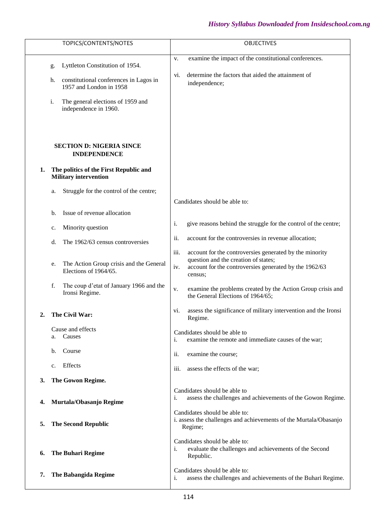|    | TOPICS/CONTENTS/NOTES                                                                                              | <b>OBJECTIVES</b>                                                                                                                                                                   |
|----|--------------------------------------------------------------------------------------------------------------------|-------------------------------------------------------------------------------------------------------------------------------------------------------------------------------------|
|    | Lyttleton Constitution of 1954.<br>g.                                                                              | examine the impact of the constitutional conferences.<br>V.<br>determine the factors that aided the attainment of<br>vi.                                                            |
|    | constitutional conferences in Lagos in<br>h.<br>1957 and London in 1958<br>The general elections of 1959 and<br>i. | independence;                                                                                                                                                                       |
|    | independence in 1960.                                                                                              |                                                                                                                                                                                     |
|    | <b>SECTION D: NIGERIA SINCE</b><br><b>INDEPENDENCE</b>                                                             |                                                                                                                                                                                     |
| 1. | The politics of the First Republic and<br><b>Military intervention</b>                                             |                                                                                                                                                                                     |
|    | Struggle for the control of the centre;<br>a.                                                                      | Candidates should be able to:                                                                                                                                                       |
|    | Issue of revenue allocation<br>b.                                                                                  |                                                                                                                                                                                     |
|    | Minority question<br>c.                                                                                            | i.<br>give reasons behind the struggle for the control of the centre;                                                                                                               |
|    | The 1962/63 census controversies<br>d.                                                                             | ii.<br>account for the controversies in revenue allocation;                                                                                                                         |
|    | The Action Group crisis and the General<br>e.<br>Elections of 1964/65.                                             | iii.<br>account for the controversies generated by the minority<br>question and the creation of states;<br>iv.<br>account for the controversies generated by the 1962/63<br>census; |
|    | f.<br>The coup d'etat of January 1966 and the<br>Ironsi Regime.                                                    | examine the problems created by the Action Group crisis and<br>V.<br>the General Elections of 1964/65;                                                                              |
| 2. | The Civil War:                                                                                                     | assess the significance of military intervention and the Ironsi<br>vi.<br>Regime.                                                                                                   |
|    | Cause and effects<br>Causes<br>a.                                                                                  | Candidates should be able to<br>examine the remote and immediate causes of the war;<br>i.                                                                                           |
|    | Course<br>$\mathbf b$ .                                                                                            | ii.<br>examine the course;                                                                                                                                                          |
|    | Effects<br>c.                                                                                                      | iii.<br>assess the effects of the war;                                                                                                                                              |
| 3. | The Gowon Regime.                                                                                                  |                                                                                                                                                                                     |
| 4. | Murtala/Obasanjo Regime                                                                                            | Candidates should be able to<br>assess the challenges and achievements of the Gowon Regime.<br>i.                                                                                   |
| 5. | <b>The Second Republic</b>                                                                                         | Candidates should be able to:<br>i. assess the challenges and achievements of the Murtala/Obasanjo<br>Regime;                                                                       |
| 6. | <b>The Buhari Regime</b>                                                                                           | Candidates should be able to:<br>evaluate the challenges and achievements of the Second<br>i.<br>Republic.                                                                          |
| 7. | <b>The Babangida Regime</b>                                                                                        | Candidates should be able to:<br>assess the challenges and achievements of the Buhari Regime.<br>i.                                                                                 |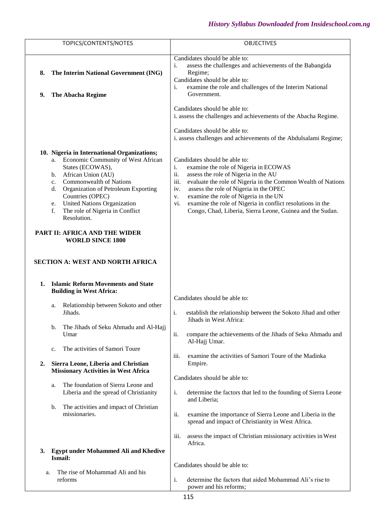| TOPICS/CONTENTS/NOTES                                                                                                                                                                                                                                                                                                                                                                                                                                       | <b>OBJECTIVES</b>                                                                                                                                                                                                                                                                                                                                                                                                                     |
|-------------------------------------------------------------------------------------------------------------------------------------------------------------------------------------------------------------------------------------------------------------------------------------------------------------------------------------------------------------------------------------------------------------------------------------------------------------|---------------------------------------------------------------------------------------------------------------------------------------------------------------------------------------------------------------------------------------------------------------------------------------------------------------------------------------------------------------------------------------------------------------------------------------|
|                                                                                                                                                                                                                                                                                                                                                                                                                                                             |                                                                                                                                                                                                                                                                                                                                                                                                                                       |
| The Interim National Government (ING)<br>8.<br>The Abacha Regime<br>9.                                                                                                                                                                                                                                                                                                                                                                                      | Candidates should be able to:<br>assess the challenges and achievements of the Babangida<br>i.<br>Regime;<br>Candidates should be able to:<br>i.<br>examine the role and challenges of the Interim National<br>Government.                                                                                                                                                                                                            |
|                                                                                                                                                                                                                                                                                                                                                                                                                                                             | Candidates should be able to:<br>i. assess the challenges and achievements of the Abacha Regime.<br>Candidates should be able to:<br>i. assess challenges and achievements of the Abdulsalami Regime;                                                                                                                                                                                                                                 |
| 10. Nigeria in International Organizations;<br>Economic Community of West African<br>a.<br>States (ECOWAS),<br>African Union (AU)<br>b.<br><b>Commonwealth of Nations</b><br>c.<br>Organization of Petroleum Exporting<br>d.<br>Countries (OPEC)<br><b>United Nations Organization</b><br>e.<br>The role of Nigeria in Conflict<br>f.<br>Resolution.<br>PART II: AFRICA AND THE WIDER<br><b>WORLD SINCE 1800</b><br><b>SECTION A: WEST AND NORTH AFRICA</b> | Candidates should be able to:<br>examine the role of Nigeria in ECOWAS<br>i.<br>ii.<br>assess the role of Nigeria in the AU<br>iii.<br>evaluate the role of Nigeria in the Common Wealth of Nations<br>assess the role of Nigeria in the OPEC<br>iv.<br>examine the role of Nigeria in the UN<br>V.<br>examine the role of Nigeria in conflict resolutions in the<br>vi.<br>Congo, Chad, Liberia, Sierra Leone, Guinea and the Sudan. |
| <b>Islamic Reform Movements and State</b><br>1.<br><b>Building in West Africa:</b>                                                                                                                                                                                                                                                                                                                                                                          |                                                                                                                                                                                                                                                                                                                                                                                                                                       |
| Relationship between Sokoto and other<br>a.<br>Jihads.                                                                                                                                                                                                                                                                                                                                                                                                      | Candidates should be able to:<br>i.<br>establish the relationship between the Sokoto Jihad and other<br>Jihads in West Africa:                                                                                                                                                                                                                                                                                                        |
| The Jihads of Seku Ahmadu and Al-Hajj<br>b.<br>Umar                                                                                                                                                                                                                                                                                                                                                                                                         | ii.<br>compare the achievements of the Jihads of Seku Ahmadu and<br>Al-Hajj Umar.                                                                                                                                                                                                                                                                                                                                                     |
| The activities of Samori Toure<br>c.<br>Sierra Leone, Liberia and Christian<br>2.<br><b>Missionary Activities in West Africa</b>                                                                                                                                                                                                                                                                                                                            | iii.<br>examine the activities of Samori Toure of the Madinka<br>Empire.                                                                                                                                                                                                                                                                                                                                                              |
| The foundation of Sierra Leone and<br>a.<br>Liberia and the spread of Christianity<br>The activities and impact of Christian<br>b.                                                                                                                                                                                                                                                                                                                          | Candidates should be able to:<br>i.<br>determine the factors that led to the founding of Sierra Leone<br>and Liberia;                                                                                                                                                                                                                                                                                                                 |
| missionaries.                                                                                                                                                                                                                                                                                                                                                                                                                                               | ii.<br>examine the importance of Sierra Leone and Liberia in the<br>spread and impact of Christianity in West Africa.<br>iii.<br>assess the impact of Christian missionary activities in West                                                                                                                                                                                                                                         |
| <b>Egypt under Mohammed Ali and Khedive</b><br>3.<br>Ismail:                                                                                                                                                                                                                                                                                                                                                                                                | Africa.                                                                                                                                                                                                                                                                                                                                                                                                                               |
| The rise of Mohammad Ali and his<br>a.<br>reforms                                                                                                                                                                                                                                                                                                                                                                                                           | Candidates should be able to:<br>i.<br>determine the factors that aided Mohammad Ali's rise to<br>power and his reforms;                                                                                                                                                                                                                                                                                                              |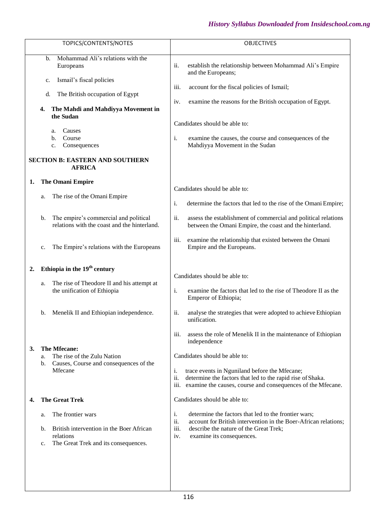| TOPICS/CONTENTS/NOTES                                                                                                                                                                                                                                                                                | <b>OBJECTIVES</b>                                                                                                                                                                                                                                                                                                                                 |
|------------------------------------------------------------------------------------------------------------------------------------------------------------------------------------------------------------------------------------------------------------------------------------------------------|---------------------------------------------------------------------------------------------------------------------------------------------------------------------------------------------------------------------------------------------------------------------------------------------------------------------------------------------------|
| Mohammad Ali's relations with the<br>b.<br>Europeans<br>Ismail's fiscal policies<br>$\mathbf{c}$ .<br>The British occupation of Egypt<br>d.<br>The Mahdi and Mahdiyya Movement in<br>4.<br>the Sudan<br>Causes<br>a.<br>Course<br>b.<br>Consequences<br>c.<br><b>SECTION B: EASTERN AND SOUTHERN</b> | ii.<br>establish the relationship between Mohammad Ali's Empire<br>and the Europeans;<br>iii.<br>account for the fiscal policies of Ismail;<br>examine the reasons for the British occupation of Egypt.<br>iv.<br>Candidates should be able to:<br>i.<br>examine the causes, the course and consequences of the<br>Mahdiyya Movement in the Sudan |
| <b>AFRICA</b><br><b>The Omani Empire</b><br>1.                                                                                                                                                                                                                                                       |                                                                                                                                                                                                                                                                                                                                                   |
| The rise of the Omani Empire<br>a.                                                                                                                                                                                                                                                                   | Candidates should be able to:<br>i.<br>determine the factors that led to the rise of the Omani Empire;                                                                                                                                                                                                                                            |
| The empire's commercial and political<br>b.<br>relations with the coast and the hinterland.                                                                                                                                                                                                          | ii.<br>assess the establishment of commercial and political relations<br>between the Omani Empire, the coast and the hinterland.                                                                                                                                                                                                                  |
| The Empire's relations with the Europeans<br>c.                                                                                                                                                                                                                                                      | iii.<br>examine the relationship that existed between the Omani<br>Empire and the Europeans.                                                                                                                                                                                                                                                      |
| Ethiopia in the 19 <sup>th</sup> century<br>2.                                                                                                                                                                                                                                                       |                                                                                                                                                                                                                                                                                                                                                   |
| The rise of Theodore II and his attempt at<br>a.<br>the unification of Ethiopia                                                                                                                                                                                                                      | Candidates should be able to:<br>i.<br>examine the factors that led to the rise of Theodore II as the<br>Emperor of Ethiopia;                                                                                                                                                                                                                     |
| Menelik II and Ethiopian independence.<br>b.                                                                                                                                                                                                                                                         | ii.<br>analyse the strategies that were adopted to achieve Ethiopian<br>unification.                                                                                                                                                                                                                                                              |
| The Mfecane:<br>3.<br>The rise of the Zulu Nation<br>a.<br>Causes, Course and consequences of the<br>b.<br>Mfecane                                                                                                                                                                                   | iii.<br>assess the role of Menelik II in the maintenance of Ethiopian<br>independence<br>Candidates should be able to:<br>i.<br>trace events in Nguniland before the Mfecane;<br>ii.<br>determine the factors that led to the rapid rise of Shaka.<br>examine the causes, course and consequences of the Mfecane.<br>iii.                         |
| <b>The Great Trek</b><br>4.                                                                                                                                                                                                                                                                          | Candidates should be able to:                                                                                                                                                                                                                                                                                                                     |
| The frontier wars<br>a.<br>British intervention in the Boer African<br>b.<br>relations<br>The Great Trek and its consequences.<br>c.                                                                                                                                                                 | i.<br>determine the factors that led to the frontier wars;<br>ii.<br>account for British intervention in the Boer-African relations;<br>iii.<br>describe the nature of the Great Trek;<br>examine its consequences.<br>iv.                                                                                                                        |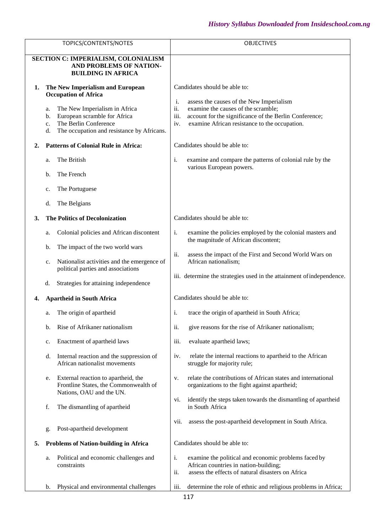|    | TOPICS/CONTENTS/NOTES                                                                                                 | <b>OBJECTIVES</b>                                                                                                                                                           |
|----|-----------------------------------------------------------------------------------------------------------------------|-----------------------------------------------------------------------------------------------------------------------------------------------------------------------------|
|    | SECTION C: IMPERIALISM, COLONIALISM<br>AND PROBLEMS OF NATION-                                                        |                                                                                                                                                                             |
|    | <b>BUILDING IN AFRICA</b>                                                                                             |                                                                                                                                                                             |
| 1. | The New Imperialism and European<br><b>Occupation of Africa</b><br>The New Imperialism in Africa<br>a.                | Candidates should be able to:<br>i.<br>assess the causes of the New Imperialism<br>ii.<br>examine the causes of the scramble;                                               |
|    | European scramble for Africa<br>b.<br>The Berlin Conference<br>c.<br>The occupation and resistance by Africans.<br>d. | iii.<br>account for the significance of the Berlin Conference;<br>examine African resistance to the occupation.<br>iv.                                                      |
| 2. | <b>Patterns of Colonial Rule in Africa:</b>                                                                           | Candidates should be able to:                                                                                                                                               |
|    | The British<br>a.                                                                                                     | i.<br>examine and compare the patterns of colonial rule by the<br>various European powers.                                                                                  |
|    | The French<br>b.                                                                                                      |                                                                                                                                                                             |
|    | The Portuguese<br>c.                                                                                                  |                                                                                                                                                                             |
|    | The Belgians<br>d.                                                                                                    |                                                                                                                                                                             |
| 3. | <b>The Politics of Decolonization</b>                                                                                 | Candidates should be able to:                                                                                                                                               |
|    | Colonial policies and African discontent<br>a.                                                                        | examine the policies employed by the colonial masters and<br>i.<br>the magnitude of African discontent;                                                                     |
|    | The impact of the two world wars<br>b.                                                                                | assess the impact of the First and Second World Wars on<br>ii.                                                                                                              |
|    | Nationalist activities and the emergence of<br>c.<br>political parties and associations                               | African nationalism;                                                                                                                                                        |
|    | Strategies for attaining independence<br>d.                                                                           | iii. determine the strategies used in the attainment of independence.                                                                                                       |
| 4. | <b>Apartheid in South Africa</b>                                                                                      | Candidates should be able to:                                                                                                                                               |
|    | The origin of apartheid<br>a.                                                                                         | trace the origin of apartheid in South Africa;<br>i.                                                                                                                        |
|    | Rise of Afrikaner nationalism<br>b.                                                                                   | ii.<br>give reasons for the rise of Afrikaner nationalism;                                                                                                                  |
|    | Enactment of apartheid laws<br>c.                                                                                     | iii.<br>evaluate apartheid laws;                                                                                                                                            |
|    | Internal reaction and the suppression of<br>d.<br>African nationalist movements                                       | relate the internal reactions to apartheid to the African<br>iv.<br>struggle for majority rule;                                                                             |
|    | External reaction to apartheid, the<br>e.<br>Frontline States, the Commonwealth of<br>Nations, OAU and the UN.        | relate the contributions of African states and international<br>v.<br>organizations to the fight against apartheid;                                                         |
|    | f.<br>The dismantling of apartheid                                                                                    | identify the steps taken towards the dismantling of apartheid<br>vi.<br>in South Africa                                                                                     |
|    | Post-apartheid development<br>g.                                                                                      | assess the post-apartheid development in South Africa.<br>vii.                                                                                                              |
| 5. | <b>Problems of Nation-building in Africa</b>                                                                          | Candidates should be able to:                                                                                                                                               |
|    | Political and economic challenges and<br>a.<br>constraints                                                            | $\mathbf{i}$ .<br>examine the political and economic problems faced by<br>African countries in nation-building;<br>ii.<br>assess the effects of natural disasters on Africa |
|    | Physical and environmental challenges<br>b.                                                                           | iii.<br>determine the role of ethnic and religious problems in Africa;                                                                                                      |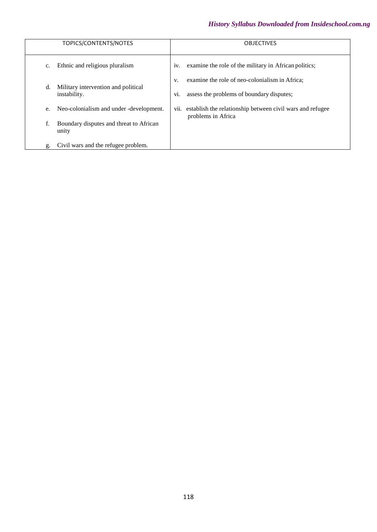| TOPICS/CONTENTS/NOTES                                     | <b>OBJECTIVES</b>                                                                                        |
|-----------------------------------------------------------|----------------------------------------------------------------------------------------------------------|
| Ethnic and religious pluralism<br>$\mathbf{C}$ .          | examine the role of the military in African politics;<br>1V.                                             |
| Military intervention and political<br>d.<br>instability. | examine the role of neo-colonialism in Africa:<br>V.<br>assess the problems of boundary disputes;<br>V1. |
| Neo-colonialism and under -development.<br>e.             | establish the relationship between civil wars and refugee<br>V11.<br>problems in Africa                  |
| f.<br>Boundary disputes and threat to African<br>unity    |                                                                                                          |
| Civil wars and the refugee problem.<br>g.                 |                                                                                                          |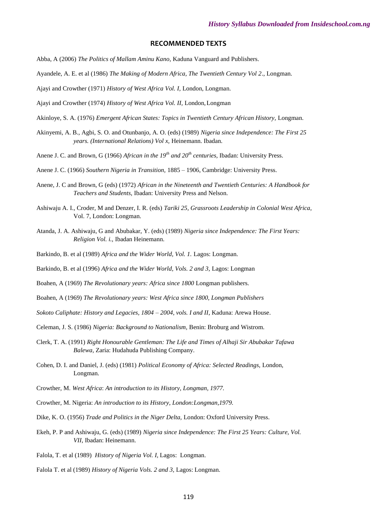#### **RECOMMENDED TEXTS**

- Abba, A (2006) *The Politics of Mallam Aminu Kano,* Kaduna Vanguard and Publishers.
- Ayandele, A. E. et al (1986) *The Making of Modern Africa, The Twentieth Century Vol 2*., Longman.
- Ajayi and Crowther (1971) *History of West Africa Vol. I,* London, Longman.

Ajayi and Crowther (1974) *History of West Africa Vol. II,* London,Longman

- Akinloye, S. A. (1976) *Emergent African States: Topics in Twentieth Century African History,* Longman.
- Akinyemi, A. B., Agbi, S. O. and Otunbanjo, A. O. (eds) (1989) *Nigeria since Independence: The First 25 years. (International Relations) Vol x,* Heinemann. Ibadan.
- Anene J. C. and Brown, G (1966) *African in the 19th and 20th centuries,* Ibadan: University Press.
- Anene J. C. (1966) *Southern Nigeria in Transition,* 1885 1906, Cambridge: University Press.
- Anene, J. C and Brown, G (eds) (1972) *African in the Nineteenth and Twentieth Centuries: A Handbook for Teachers and Students,* Ibadan: University Press and Nelson.
- Ashiwaju A. I., Croder, M and Denzer, I. R. (eds) *Tariki 25, Grassroots Leadership in Colonial West Africa,* Vol. 7, London: Longman.
- Atanda, J. A. Ashiwaju, G and Abubakar, Y. (eds) (1989) *Nigeria since Independence: The First Years: Religion Vol. i.,* Ibadan Heinemann.
- Barkindo, B. et al (1989) *Africa and the Wider World, Vol. 1.* Lagos: Longman.
- Barkindo, B. et al (1996) *Africa and the Wider World, Vols. 2 and 3,* Lagos: Longman
- Boahen, A (1969) *The Revolutionary years: Africa since 1800* Longman publishers.
- Boahen, A (1969) *The Revolutionary years: West Africa since 1800, Longman Publishers*
- *Sokoto Caliphate: History and Legacies, 1804 – 2004, vols. I and II*, Kaduna: Arewa House.
- Celeman, J. S. (1986) *Nigeria: Background to Nationalism,* Benin: Broburg and Wistrom.
- Clerk, T. A. (1991) *Right Honourable Gentleman: The Life and Times of Alhaji Sir Abubakar Tafawa Balewa,* Zaria: Hudahuda Publishing Company.
- Cohen, D. I. and Daniel, J. (eds) (1981) *Political Economy of Africa: Selected Readings,* London, Longman.
- Crowther, M. *West Africa*: *An introduction to its History, Longman, 1977.*
- Crowther, M. Nigeria: *An introduction to its History, London:Longman,1979.*
- Dike, K. O. (1956) *Trade and Politics in the Niger Delta,* London: Oxford University Press.
- Ekeh, P. P and Ashiwaju, G. (eds) (1989) *Nigeria since Independence: The First 25 Years: Culture, Vol. VII*, Ibadan: Heinemann.
- Falola, T. et al (1989) *History of Nigeria Vol. I,* Lagos: Longman.
- Falola T. et al (1989) *History of Nigeria Vols. 2 and 3,* Lagos: Longman.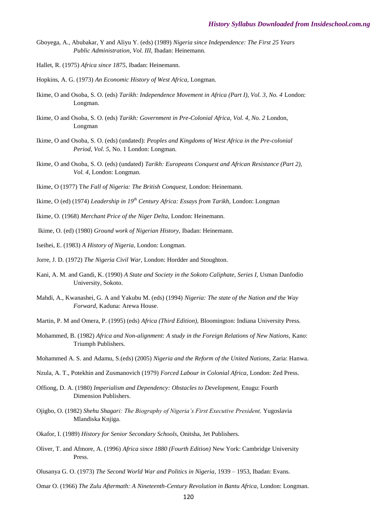- Gboyega, A., Abubakar, Y and Aliyu Y. (eds) (1989) *Nigeria since Independence: The First 25 Years Public Administration, Vol. III,* Ibadan: Heinemann.
- Hallet, R. (1975) *Africa since 1875,* Ibadan: Heinemann.
- Hopkins, A. G. (1973) *An Economic History of West Africa,* Longman.
- Ikime, O and Osoba, S. O. (eds) *Tarikh: Independence Movement in Africa (Part I), Vol. 3, No. 4* London: Longman.
- Ikime, O and Osoba, S. O. (eds) *Tarikh: Government in Pre-Colonial Africa, Vol. 4, No. 2* London, Longman
- Ikime, O and Osoba, S. O. (eds) (undated): *Peoples and Kingdoms of West Africa in the Pre-colonial Period, Vol. 5,* No. 1 London: Longman.
- Ikime, O and Osoba, S. O. (eds) (undated) *Tarikh: Europeans Conquest and African Resistance (Part 2), Vol. 4*, London: Longman.
- Ikime, O (1977) T*he Fall of Nigeria: The British Conquest,* London: Heinemann.
- Ikime, O (ed) (1974) *Leadership in 19th Century Africa: Essays from Tarikh,* London: Longman
- Ikime, O. (1968) *Merchant Price of the Niger Delta,* London: Heinemann.
- Ikime, O. (ed) (1980) *Ground work of Nigerian History,* Ibadan: Heinemann.
- Iseihei, E. (1983) *A History of Nigeria,* London: Longman.
- Jorre, J. D. (1972) *The Nigeria Civil War,* London: Hordder and Stoughton.
- Kani, A. M. and Gandi, K. (1990) *A State and Society in the Sokoto Caliphate, Series I*, Usman Danfodio University, Sokoto.
- Mahdi, A., Kwanashei, G. A and Yakubu M. (eds) (1994) *Nigeria: The state of the Nation and the Way Forward*, Kaduna: Arewa House.
- Martin, P. M and Omera, P. (1995) (eds) *Africa (Third Edition),* Bloomington: Indiana University Press.
- Mohammed, B. (1982) *Africa and Non-alignment: A study in the Foreign Relations of New Nations,* Kano: Triumph Publishers.
- Mohammed A. S. and Adamu, S.(eds) (2005) *Nigeria and the Reform of the United Nations,* Zaria: Hanwa.
- Nzula, A. T., Potekhin and Zusmanovich (1979) *Forced Labour in Colonial Africa,* London: Zed Press.
- Offiong, D. A. (1980) *Imperialism and Dependency: Obstacles to Development,* Enugu: Fourth Dimension Publishers.
- Ojigbo, O. (1982) *Shehu Shagari: The Biography of Nigeria's First Executive President,* Yugoslavia Mlandiska Knjiga.
- Okafor, I. (1989) *History for Senior Secondary Schools,* Onitsha, Jet Publishers.
- Oliver, T. and Afmore, A. (1996) *Africa since 1880 (Fourth Edition)* New York: Cambridge University Press.
- Olusanya G. O. (1973) *The Second World War and Politics in Nigeria,* 1939 1953, Ibadan: Evans.

Omar O. (1966) *The Zulu Aftermath: A Nineteenth-Century Revolution in Bantu Africa*, London: Longman.